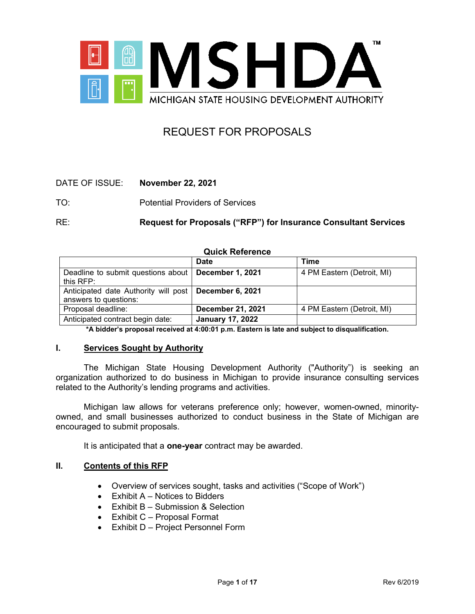

# REQUEST FOR PROPOSALS

# DATE OF ISSUE: **November 22, 2021**

TO: Potential Providers of Services

RE: **Request for Proposals ("RFP") for Insurance Consultant Services** 

| <b>QUICK Reference</b>                                        |                         |                            |  |
|---------------------------------------------------------------|-------------------------|----------------------------|--|
|                                                               | <b>Date</b>             | Time                       |  |
| Deadline to submit questions about  <br>this $RFP:$           | <b>December 1, 2021</b> | 4 PM Eastern (Detroit, MI) |  |
| Anticipated date Authority will post<br>answers to questions: | December 6, 2021        |                            |  |
| Proposal deadline:                                            | December 21, 2021       | 4 PM Eastern (Detroit, MI) |  |
| Anticipated contract begin date:                              | <b>January 17, 2022</b> |                            |  |

# **Quick Reference**

**\*A bidder's proposal received at 4:00:01 p.m. Eastern is late and subject to disqualification.**

#### **I. Services Sought by Authority**

The Michigan State Housing Development Authority ("Authority") is seeking an organization authorized to do business in Michigan to provide insurance consulting services related to the Authority's lending programs and activities.

Michigan law allows for veterans preference only; however, women-owned, minorityowned, and small businesses authorized to conduct business in the State of Michigan are encouraged to submit proposals.

It is anticipated that a **one-year** contract may be awarded.

# **II. Contents of this RFP**

- Overview of services sought, tasks and activities ("Scope of Work")
- Exhibit A Notices to Bidders
- Exhibit B Submission & Selection
- Exhibit C Proposal Format
- Exhibit D Project Personnel Form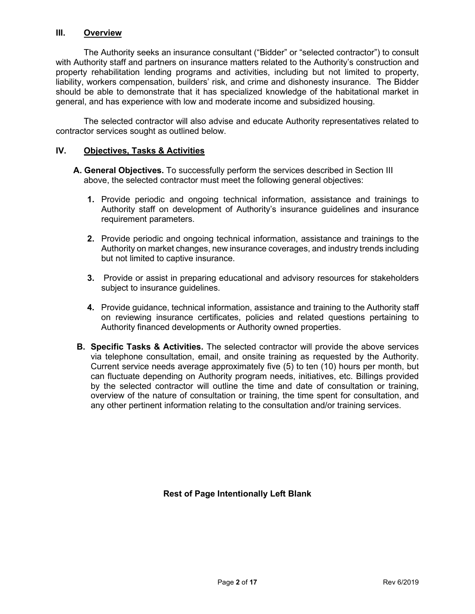## **III. Overview**

The Authority seeks an insurance consultant ("Bidder" or "selected contractor") to consult with Authority staff and partners on insurance matters related to the Authority's construction and property rehabilitation lending programs and activities, including but not limited to property, liability, workers compensation, builders' risk, and crime and dishonesty insurance. The Bidder should be able to demonstrate that it has specialized knowledge of the habitational market in general, and has experience with low and moderate income and subsidized housing.

The selected contractor will also advise and educate Authority representatives related to contractor services sought as outlined below.

## **IV. Objectives, Tasks & Activities**

- **A. General Objectives.** To successfully perform the services described in Section III above, the selected contractor must meet the following general objectives:
	- **1.** Provide periodic and ongoing technical information, assistance and trainings to Authority staff on development of Authority's insurance guidelines and insurance requirement parameters.
	- **2.** Provide periodic and ongoing technical information, assistance and trainings to the Authority on market changes, new insurance coverages, and industry trends including but not limited to captive insurance.
	- **3.** Provide or assist in preparing educational and advisory resources for stakeholders subject to insurance guidelines.
	- **4.** Provide guidance, technical information, assistance and training to the Authority staff on reviewing insurance certificates, policies and related questions pertaining to Authority financed developments or Authority owned properties.
- **B. Specific Tasks & Activities.** The selected contractor will provide the above services via telephone consultation, email, and onsite training as requested by the Authority. Current service needs average approximately five (5) to ten (10) hours per month, but can fluctuate depending on Authority program needs, initiatives, etc. Billings provided by the selected contractor will outline the time and date of consultation or training, overview of the nature of consultation or training, the time spent for consultation, and any other pertinent information relating to the consultation and/or training services.

**Rest of Page Intentionally Left Blank**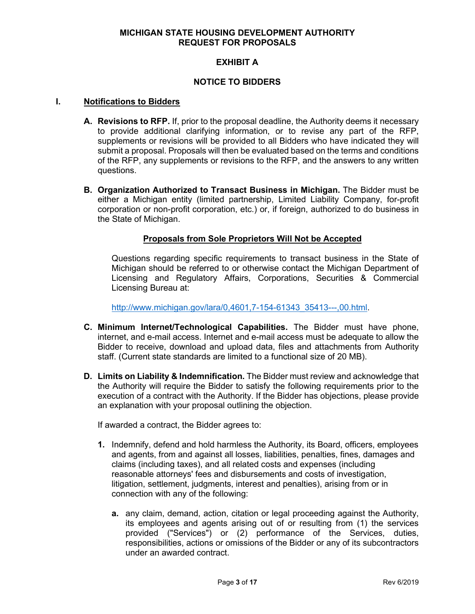## **MICHIGAN STATE HOUSING DEVELOPMENT AUTHORITY REQUEST FOR PROPOSALS**

# **EXHIBIT A**

## **NOTICE TO BIDDERS**

#### **I. Notifications to Bidders**

- **A. Revisions to RFP.** If, prior to the proposal deadline, the Authority deems it necessary to provide additional clarifying information, or to revise any part of the RFP, supplements or revisions will be provided to all Bidders who have indicated they will submit a proposal. Proposals will then be evaluated based on the terms and conditions of the RFP, any supplements or revisions to the RFP, and the answers to any written questions.
- **B. Organization Authorized to Transact Business in Michigan.** The Bidder must be either a Michigan entity (limited partnership, Limited Liability Company, for-profit corporation or non-profit corporation, etc.) or, if foreign, authorized to do business in the State of Michigan.

## **Proposals from Sole Proprietors Will Not be Accepted**

Questions regarding specific requirements to transact business in the State of Michigan should be referred to or otherwise contact the Michigan Department of Licensing and Regulatory Affairs, Corporations, Securities & Commercial Licensing Bureau at:

[http://www.michigan.gov/lara/0,4601,7-154-61343\\_35413---,00.html.](http://www.michigan.gov/lara/0,4601,7-154-61343_35413---,00.html)

- **C. Minimum Internet/Technological Capabilities.** The Bidder must have phone, internet, and e-mail access. Internet and e-mail access must be adequate to allow the Bidder to receive, download and upload data, files and attachments from Authority staff. (Current state standards are limited to a functional size of 20 MB).
- **D. Limits on Liability & Indemnification.** The Bidder must review and acknowledge that the Authority will require the Bidder to satisfy the following requirements prior to the execution of a contract with the Authority. If the Bidder has objections, please provide an explanation with your proposal outlining the objection.

If awarded a contract, the Bidder agrees to:

- **1.** Indemnify, defend and hold harmless the Authority, its Board, officers, employees and agents, from and against all losses, liabilities, penalties, fines, damages and claims (including taxes), and all related costs and expenses (including reasonable attorneys' fees and disbursements and costs of investigation, litigation, settlement, judgments, interest and penalties), arising from or in connection with any of the following:
	- **a.** any claim, demand, action, citation or legal proceeding against the Authority, its employees and agents arising out of or resulting from (1) the services provided ("Services") or (2) performance of the Services, duties, responsibilities, actions or omissions of the Bidder or any of its subcontractors under an awarded contract.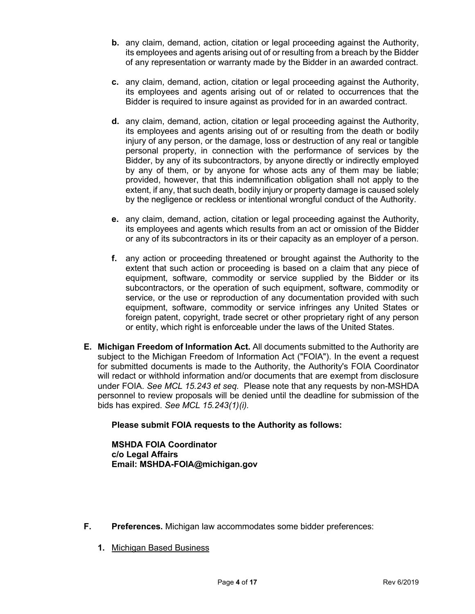- **b.** any claim, demand, action, citation or legal proceeding against the Authority, its employees and agents arising out of or resulting from a breach by the Bidder of any representation or warranty made by the Bidder in an awarded contract.
- **c.** any claim, demand, action, citation or legal proceeding against the Authority, its employees and agents arising out of or related to occurrences that the Bidder is required to insure against as provided for in an awarded contract.
- **d.** any claim, demand, action, citation or legal proceeding against the Authority, its employees and agents arising out of or resulting from the death or bodily injury of any person, or the damage, loss or destruction of any real or tangible personal property, in connection with the performance of services by the Bidder, by any of its subcontractors, by anyone directly or indirectly employed by any of them, or by anyone for whose acts any of them may be liable; provided, however, that this indemnification obligation shall not apply to the extent, if any, that such death, bodily injury or property damage is caused solely by the negligence or reckless or intentional wrongful conduct of the Authority.
- **e.** any claim, demand, action, citation or legal proceeding against the Authority, its employees and agents which results from an act or omission of the Bidder or any of its subcontractors in its or their capacity as an employer of a person.
- **f.** any action or proceeding threatened or brought against the Authority to the extent that such action or proceeding is based on a claim that any piece of equipment, software, commodity or service supplied by the Bidder or its subcontractors, or the operation of such equipment, software, commodity or service, or the use or reproduction of any documentation provided with such equipment, software, commodity or service infringes any United States or foreign patent, copyright, trade secret or other proprietary right of any person or entity, which right is enforceable under the laws of the United States.
- **E. Michigan Freedom of Information Act.** All documents submitted to the Authority are subject to the Michigan Freedom of Information Act ("FOIA"). In the event a request for submitted documents is made to the Authority, the Authority's FOIA Coordinator will redact or withhold information and/or documents that are exempt from disclosure under FOIA. *See MCL 15.243 et seq.* Please note that any requests by non-MSHDA personnel to review proposals will be denied until the deadline for submission of the bids has expired. *See MCL 15.243(1)(i).*

# **Please submit FOIA requests to the Authority as follows:**

**MSHDA FOIA Coordinator c/o Legal Affairs Email: MSHDA-FOIA@michigan.gov**

- **F. Preferences.** Michigan law accommodates some bidder preferences:
	- **1.** Michigan Based Business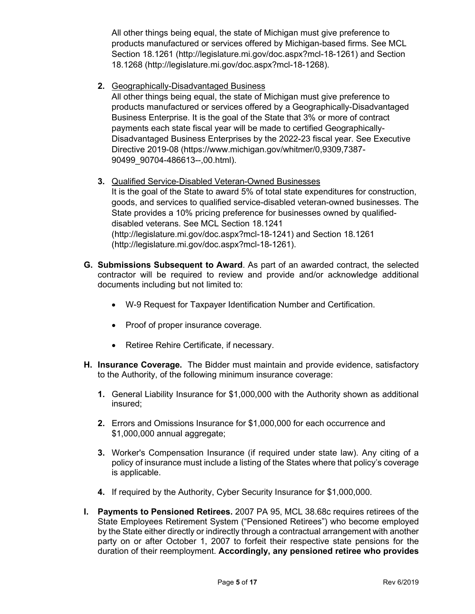All other things being equal, the state of Michigan must give preference to products manufactured or services offered by Michigan-based firms. See MCL Section 18.1261 (http://legislature.mi.gov/doc.aspx?mcl-18-1261) and Section 18.1268 (http://legislature.mi.gov/doc.aspx?mcl-18-1268).

**2.** Geographically-Disadvantaged Business

All other things being equal, the state of Michigan must give preference to products manufactured or services offered by a Geographically-Disadvantaged Business Enterprise. It is the goal of the State that 3% or more of contract payments each state fiscal year will be made to certified Geographically-Disadvantaged Business Enterprises by the 2022-23 fiscal year. See Executive Directive 2019-08 (https://www.michigan.gov/whitmer/0,9309,7387- 90499\_90704-486613--,00.html).

**3.** Qualified Service-Disabled Veteran-Owned Businesses

It is the goal of the State to award 5% of total state expenditures for construction, goods, and services to qualified service-disabled veteran-owned businesses. The State provides a 10% pricing preference for businesses owned by qualifieddisabled veterans. See MCL Section 18.1241 (http://legislature.mi.gov/doc.aspx?mcl-18-1241) and Section 18.1261 (http://legislature.mi.gov/doc.aspx?mcl-18-1261).

- **G. Submissions Subsequent to Award**. As part of an awarded contract, the selected contractor will be required to review and provide and/or acknowledge additional documents including but not limited to:
	- W-9 Request for Taxpayer Identification Number and Certification.
	- Proof of proper insurance coverage.
	- Retiree Rehire Certificate, if necessary.
- **H. Insurance Coverage.** The Bidder must maintain and provide evidence, satisfactory to the Authority, of the following minimum insurance coverage:
	- **1.** General Liability Insurance for \$1,000,000 with the Authority shown as additional insured;
	- **2.** Errors and Omissions Insurance for \$1,000,000 for each occurrence and \$1,000,000 annual aggregate;
	- **3.** Worker's Compensation Insurance (if required under state law). Any citing of a policy of insurance must include a listing of the States where that policy's coverage is applicable.
	- **4.** If required by the Authority, Cyber Security Insurance for \$1,000,000.
- **I. Payments to Pensioned Retirees.** 2007 PA 95, MCL 38.68c requires retirees of the State Employees Retirement System ("Pensioned Retirees") who become employed by the State either directly or indirectly through a contractual arrangement with another party on or after October 1, 2007 to forfeit their respective state pensions for the duration of their reemployment. **Accordingly, any pensioned retiree who provides**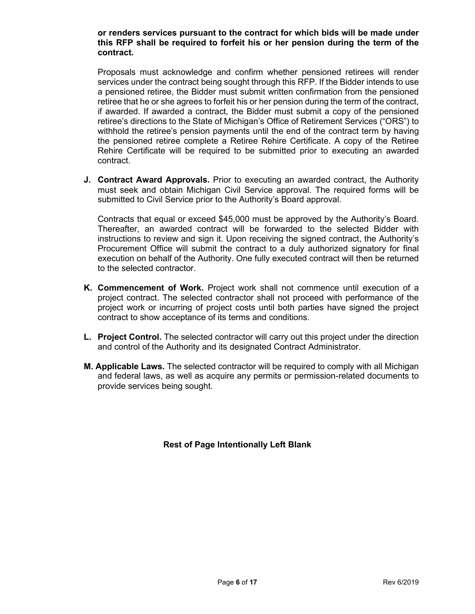## **or renders services pursuant to the contract for which bids will be made under this RFP shall be required to forfeit his or her pension during the term of the contract.**

Proposals must acknowledge and confirm whether pensioned retirees will render services under the contract being sought through this RFP. If the Bidder intends to use a pensioned retiree, the Bidder must submit written confirmation from the pensioned retiree that he or she agrees to forfeit his or her pension during the term of the contract, if awarded. If awarded a contract, the Bidder must submit a copy of the pensioned retiree's directions to the State of Michigan's Office of Retirement Services ("ORS") to withhold the retiree's pension payments until the end of the contract term by having the pensioned retiree complete a Retiree Rehire Certificate. A copy of the Retiree Rehire Certificate will be required to be submitted prior to executing an awarded contract.

**J. Contract Award Approvals.** Prior to executing an awarded contract, the Authority must seek and obtain Michigan Civil Service approval. The required forms will be submitted to Civil Service prior to the Authority's Board approval.

Contracts that equal or exceed \$45,000 must be approved by the Authority's Board. Thereafter, an awarded contract will be forwarded to the selected Bidder with instructions to review and sign it. Upon receiving the signed contract, the Authority's Procurement Office will submit the contract to a duly authorized signatory for final execution on behalf of the Authority. One fully executed contract will then be returned to the selected contractor.

- **K. Commencement of Work.** Project work shall not commence until execution of a project contract. The selected contractor shall not proceed with performance of the project work or incurring of project costs until both parties have signed the project contract to show acceptance of its terms and conditions.
- **L. Project Control.** The selected contractor will carry out this project under the direction and control of the Authority and its designated Contract Administrator.
- **M. Applicable Laws.** The selected contractor will be required to comply with all Michigan and federal laws, as well as acquire any permits or permission-related documents to provide services being sought.

# **Rest of Page Intentionally Left Blank**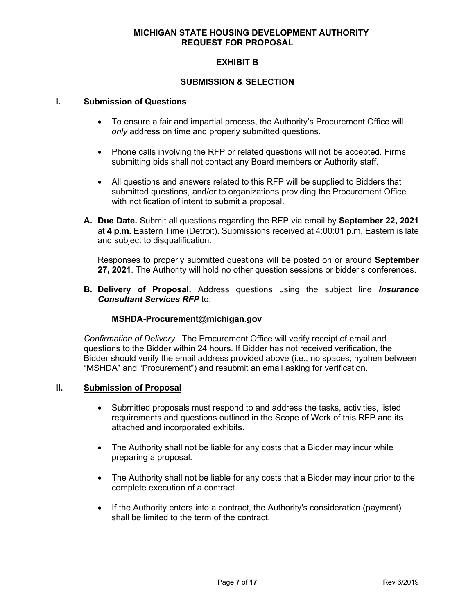## **MICHIGAN STATE HOUSING DEVELOPMENT AUTHORITY REQUEST FOR PROPOSAL**

# **EXHIBIT B**

## **SUBMISSION & SELECTION**

## **I. Submission of Questions**

- To ensure a fair and impartial process, the Authority's Procurement Office will *only* address on time and properly submitted questions.
- Phone calls involving the RFP or related questions will not be accepted. Firms submitting bids shall not contact any Board members or Authority staff.
- All questions and answers related to this RFP will be supplied to Bidders that submitted questions, and/or to organizations providing the Procurement Office with notification of intent to submit a proposal.
- **A. Due Date.** Submit all questions regarding the RFP via email by **September 22, 2021** at **4 p.m.** Eastern Time (Detroit). Submissions received at 4:00:01 p.m. Eastern is late and subject to disqualification.

Responses to properly submitted questions will be posted on or around **September 27, 2021**. The Authority will hold no other question sessions or bidder's conferences.

**B. Delivery of Proposal.** Address questions using the subject line *Insurance Consultant Services RFP* to:

#### **MSHDA-Procurement@michigan.gov**

*Confirmation of Delivery.* The Procurement Office will verify receipt of email and questions to the Bidder within 24 hours. If Bidder has not received verification, the Bidder should verify the email address provided above (i.e., no spaces; hyphen between "MSHDA" and "Procurement") and resubmit an email asking for verification.

#### **II. Submission of Proposal**

- Submitted proposals must respond to and address the tasks, activities, listed requirements and questions outlined in the Scope of Work of this RFP and its attached and incorporated exhibits.
- The Authority shall not be liable for any costs that a Bidder may incur while preparing a proposal.
- The Authority shall not be liable for any costs that a Bidder may incur prior to the complete execution of a contract.
- If the Authority enters into a contract, the Authority's consideration (payment) shall be limited to the term of the contract.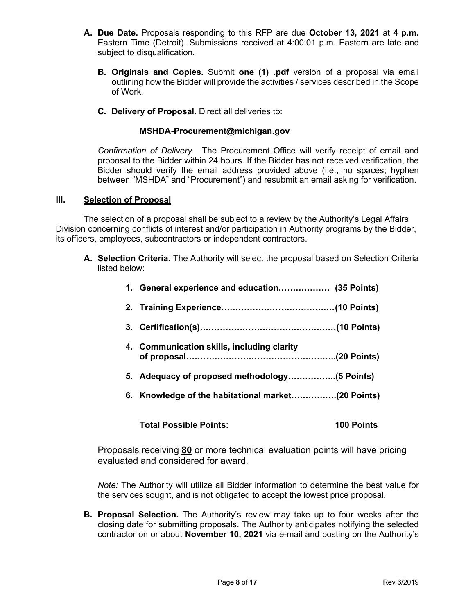- **A. Due Date.** Proposals responding to this RFP are due **October 13, 2021** at **4 p.m.** Eastern Time (Detroit). Submissions received at 4:00:01 p.m. Eastern are late and subject to disqualification.
	- **B. Originals and Copies.** Submit **one (1) .pdf** version of a proposal via email outlining how the Bidder will provide the activities / services described in the Scope of Work.
	- **C. Delivery of Proposal.** Direct all deliveries to:

# **MSHDA-Procurement@michigan.gov**

*Confirmation of Delivery.* The Procurement Office will verify receipt of email and proposal to the Bidder within 24 hours. If the Bidder has not received verification, the Bidder should verify the email address provided above (i.e., no spaces; hyphen between "MSHDA" and "Procurement") and resubmit an email asking for verification.

#### **III. Selection of Proposal**

The selection of a proposal shall be subject to a review by the Authority's Legal Affairs Division concerning conflicts of interest and/or participation in Authority programs by the Bidder, its officers, employees, subcontractors or independent contractors.

**A. Selection Criteria.** The Authority will select the proposal based on Selection Criteria listed below:

| 1. General experience and education (35 Points) |  |
|-------------------------------------------------|--|
|                                                 |  |
|                                                 |  |
| 4. Communication skills, including clarity      |  |
|                                                 |  |
|                                                 |  |

**Total Possible Points: 100 Points**

Proposals receiving **80** or more technical evaluation points will have pricing evaluated and considered for award.

*Note:* The Authority will utilize all Bidder information to determine the best value for the services sought, and is not obligated to accept the lowest price proposal.

**B. Proposal Selection.** The Authority's review may take up to four weeks after the closing date for submitting proposals. The Authority anticipates notifying the selected contractor on or about **November 10, 2021** via e-mail and posting on the Authority's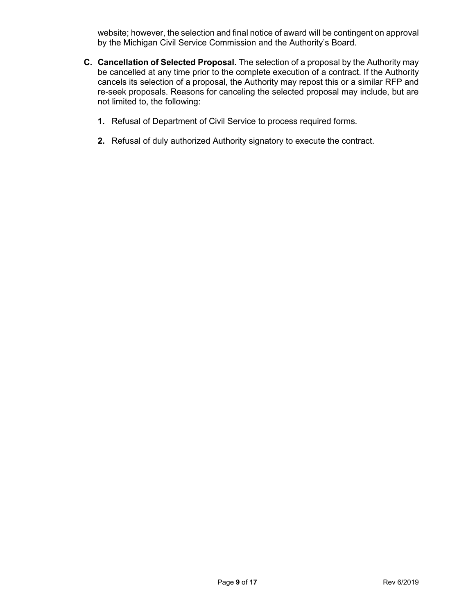website; however, the selection and final notice of award will be contingent on approval by the Michigan Civil Service Commission and the Authority's Board.

- **C. Cancellation of Selected Proposal.** The selection of a proposal by the Authority may be cancelled at any time prior to the complete execution of a contract. If the Authority cancels its selection of a proposal, the Authority may repost this or a similar RFP and re-seek proposals. Reasons for canceling the selected proposal may include, but are not limited to, the following:
	- **1.** Refusal of Department of Civil Service to process required forms.
	- **2.** Refusal of duly authorized Authority signatory to execute the contract.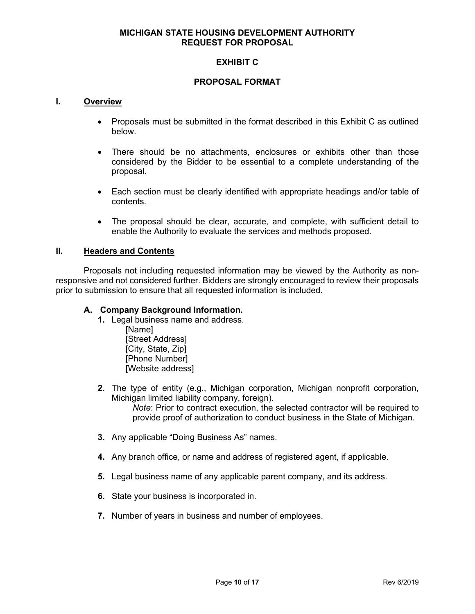## **MICHIGAN STATE HOUSING DEVELOPMENT AUTHORITY REQUEST FOR PROPOSAL**

# **EXHIBIT C**

## **PROPOSAL FORMAT**

#### **I. Overview**

- Proposals must be submitted in the format described in this Exhibit C as outlined below.
- There should be no attachments, enclosures or exhibits other than those considered by the Bidder to be essential to a complete understanding of the proposal.
- Each section must be clearly identified with appropriate headings and/or table of contents.
- The proposal should be clear, accurate, and complete, with sufficient detail to enable the Authority to evaluate the services and methods proposed.

#### **II. Headers and Contents**

Proposals not including requested information may be viewed by the Authority as nonresponsive and not considered further. Bidders are strongly encouraged to review their proposals prior to submission to ensure that all requested information is included.

## **A. Company Background Information.**

- **1.** Legal business name and address.
	- [Name] [Street Address] [City, State, Zip] [Phone Number] [Website address]
- **2.** The type of entity (e.g., Michigan corporation, Michigan nonprofit corporation, Michigan limited liability company, foreign).

*Note*: Prior to contract execution, the selected contractor will be required to provide proof of authorization to conduct business in the State of Michigan.

- **3.** Any applicable "Doing Business As" names.
- **4.** Any branch office, or name and address of registered agent, if applicable.
- **5.** Legal business name of any applicable parent company, and its address.
- **6.** State your business is incorporated in.
- **7.** Number of years in business and number of employees.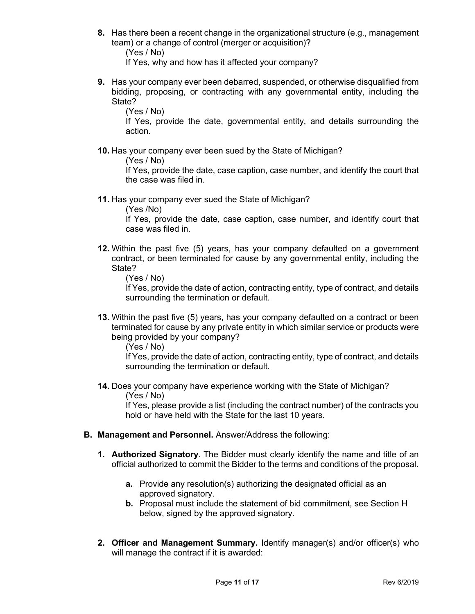**8.** Has there been a recent change in the organizational structure (e.g., management team) or a change of control (merger or acquisition)?

(Yes / No)

If Yes, why and how has it affected your company?

**9.** Has your company ever been debarred, suspended, or otherwise disqualified from bidding, proposing, or contracting with any governmental entity, including the State?

(Yes / No)

If Yes, provide the date, governmental entity, and details surrounding the action.

**10.** Has your company ever been sued by the State of Michigan?

(Yes / No)

If Yes, provide the date, case caption, case number, and identify the court that the case was filed in.

**11.** Has your company ever sued the State of Michigan?

(Yes /No)

If Yes, provide the date, case caption, case number, and identify court that case was filed in.

**12.** Within the past five (5) years, has your company defaulted on a government contract, or been terminated for cause by any governmental entity, including the State?

(Yes / No)

If Yes, provide the date of action, contracting entity, type of contract, and details surrounding the termination or default.

**13.** Within the past five (5) years, has your company defaulted on a contract or been terminated for cause by any private entity in which similar service or products were being provided by your company?

(Yes / No)

If Yes, provide the date of action, contracting entity, type of contract, and details surrounding the termination or default.

**14.** Does your company have experience working with the State of Michigan? (Yes / No)

If Yes, please provide a list (including the contract number) of the contracts you hold or have held with the State for the last 10 years.

- **B. Management and Personnel.** Answer/Address the following:
	- **1. Authorized Signatory**. The Bidder must clearly identify the name and title of an official authorized to commit the Bidder to the terms and conditions of the proposal.
		- **a.** Provide any resolution(s) authorizing the designated official as an approved signatory.
		- **b.** Proposal must include the statement of bid commitment, see Section H below, signed by the approved signatory.
	- **2. Officer and Management Summary.** Identify manager(s) and/or officer(s) who will manage the contract if it is awarded: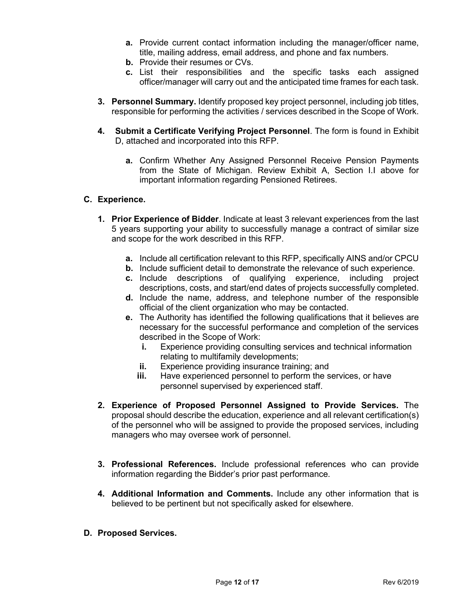- **a.** Provide current contact information including the manager/officer name, title, mailing address, email address, and phone and fax numbers.
- **b.** Provide their resumes or CVs.
- **c.** List their responsibilities and the specific tasks each assigned officer/manager will carry out and the anticipated time frames for each task.
- **3. Personnel Summary.** Identify proposed key project personnel, including job titles, responsible for performing the activities / services described in the Scope of Work.
- **4. Submit a Certificate Verifying Project Personnel**. The form is found in Exhibit D, attached and incorporated into this RFP.
	- **a.** Confirm Whether Any Assigned Personnel Receive Pension Payments from the State of Michigan. Review Exhibit A, Section I.I above for important information regarding Pensioned Retirees.

## **C. Experience.**

- **1. Prior Experience of Bidder**. Indicate at least 3 relevant experiences from the last 5 years supporting your ability to successfully manage a contract of similar size and scope for the work described in this RFP.
	- **a.** Include all certification relevant to this RFP, specifically AINS and/or CPCU
	- **b.** Include sufficient detail to demonstrate the relevance of such experience.
	- **c.** Include descriptions of qualifying experience, including project descriptions, costs, and start/end dates of projects successfully completed.
	- **d.** Include the name, address, and telephone number of the responsible official of the client organization who may be contacted.
	- **e.** The Authority has identified the following qualifications that it believes are necessary for the successful performance and completion of the services described in the Scope of Work:
		- **i.** Experience providing consulting services and technical information relating to multifamily developments;
		- **ii.** Experience providing insurance training; and
		- **iii.** Have experienced personnel to perform the services, or have personnel supervised by experienced staff.
- **2. Experience of Proposed Personnel Assigned to Provide Services.** The proposal should describe the education, experience and all relevant certification(s) of the personnel who will be assigned to provide the proposed services, including managers who may oversee work of personnel.
- **3. Professional References.** Include professional references who can provide information regarding the Bidder's prior past performance.
- **4. Additional Information and Comments.** Include any other information that is believed to be pertinent but not specifically asked for elsewhere.
- **D. Proposed Services.**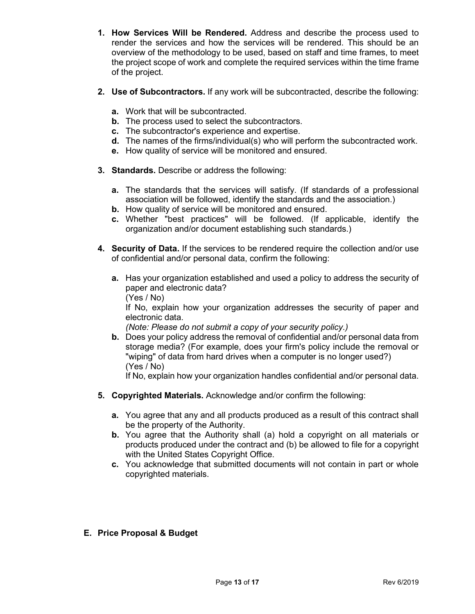- **1. How Services Will be Rendered.** Address and describe the process used to render the services and how the services will be rendered. This should be an overview of the methodology to be used, based on staff and time frames, to meet the project scope of work and complete the required services within the time frame of the project.
- **2. Use of Subcontractors.** If any work will be subcontracted, describe the following:
	- **a.** Work that will be subcontracted.
	- **b.** The process used to select the subcontractors.
	- **c.** The subcontractor's experience and expertise.
	- **d.** The names of the firms/individual(s) who will perform the subcontracted work.
	- **e.** How quality of service will be monitored and ensured.
- **3. Standards.** Describe or address the following:
	- **a.** The standards that the services will satisfy. (If standards of a professional association will be followed, identify the standards and the association.)
	- **b.** How quality of service will be monitored and ensured.
	- **c.** Whether "best practices" will be followed. (If applicable, identify the organization and/or document establishing such standards.)
- **4. Security of Data.** If the services to be rendered require the collection and/or use of confidential and/or personal data, confirm the following:
	- **a.** Has your organization established and used a policy to address the security of paper and electronic data? (Yes / No)

If No, explain how your organization addresses the security of paper and electronic data.

*(Note: Please do not submit a copy of your security policy.)* 

**b.** Does your policy address the removal of confidential and/or personal data from storage media? (For example, does your firm's policy include the removal or "wiping" of data from hard drives when a computer is no longer used?) (Yes / No)

If No, explain how your organization handles confidential and/or personal data.

- **5. Copyrighted Materials.** Acknowledge and/or confirm the following:
	- **a.** You agree that any and all products produced as a result of this contract shall be the property of the Authority.
	- **b.** You agree that the Authority shall (a) hold a copyright on all materials or products produced under the contract and (b) be allowed to file for a copyright with the United States Copyright Office.
	- **c.** You acknowledge that submitted documents will not contain in part or whole copyrighted materials.

# **E. Price Proposal & Budget**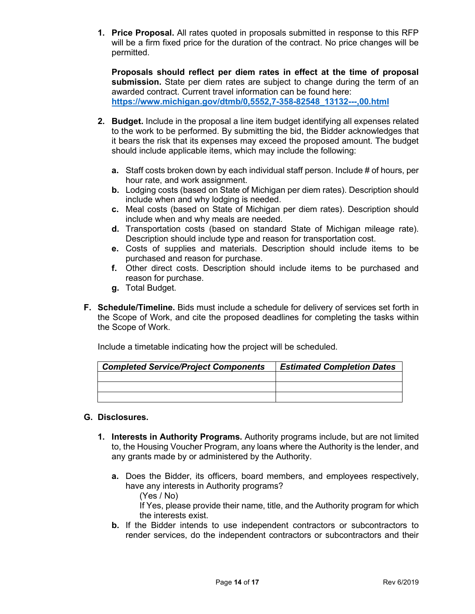**1. Price Proposal.** All rates quoted in proposals submitted in response to this RFP will be a firm fixed price for the duration of the contract. No price changes will be permitted.

**Proposals should reflect per diem rates in effect at the time of proposal submission.** State per diem rates are subject to change during the term of an awarded contract. Current travel information can be found here: **[https://www.michigan.gov/dtmb/0,5552,7-358-82548\\_13132---,00.html](https://gcc02.safelinks.protection.outlook.com/?url=https%3A%2F%2Fwww.michigan.gov%2Fdtmb%2F0%2C5552%2C7-358-82548_13132---%2C00.html&data=04%7C01%7CKellyJ11%40michigan.gov%7C80c71075c673484bccb908d8c2013c38%7Cd5fb7087377742ad966a892ef47225d1%7C0%7C0%7C637472657839283220%7CUnknown%7CTWFpbGZsb3d8eyJWIjoiMC4wLjAwMDAiLCJQIjoiV2luMzIiLCJBTiI6Ik1haWwiLCJXVCI6Mn0%3D%7C1000&sdata=eWSXmORdn1xUQsCq6EYuITVUPq%2FyVkY%2BEmtBpKicxC8%3D&reserved=0)**

- **2. Budget.** Include in the proposal a line item budget identifying all expenses related to the work to be performed. By submitting the bid, the Bidder acknowledges that it bears the risk that its expenses may exceed the proposed amount. The budget should include applicable items, which may include the following:
	- **a.** Staff costs broken down by each individual staff person. Include # of hours, per hour rate, and work assignment.
	- **b.** Lodging costs (based on State of Michigan per diem rates). Description should include when and why lodging is needed.
	- **c.** Meal costs (based on State of Michigan per diem rates). Description should include when and why meals are needed.
	- **d.** Transportation costs (based on standard State of Michigan mileage rate). Description should include type and reason for transportation cost.
	- **e.** Costs of supplies and materials. Description should include items to be purchased and reason for purchase.
	- **f.** Other direct costs. Description should include items to be purchased and reason for purchase.
	- **g.** Total Budget.
- **F. Schedule/Timeline.** Bids must include a schedule for delivery of services set forth in the Scope of Work, and cite the proposed deadlines for completing the tasks within the Scope of Work.

Include a timetable indicating how the project will be scheduled.

| <b>Completed Service/Project Components</b> | <b>Estimated Completion Dates</b> |
|---------------------------------------------|-----------------------------------|
|                                             |                                   |
|                                             |                                   |
|                                             |                                   |

# **G. Disclosures.**

- **1. Interests in Authority Programs.** Authority programs include, but are not limited to, the Housing Voucher Program, any loans where the Authority is the lender, and any grants made by or administered by the Authority.
	- **a.** Does the Bidder, its officers, board members, and employees respectively, have any interests in Authority programs?

(Yes / No)

If Yes, please provide their name, title, and the Authority program for which the interests exist.

**b.** If the Bidder intends to use independent contractors or subcontractors to render services, do the independent contractors or subcontractors and their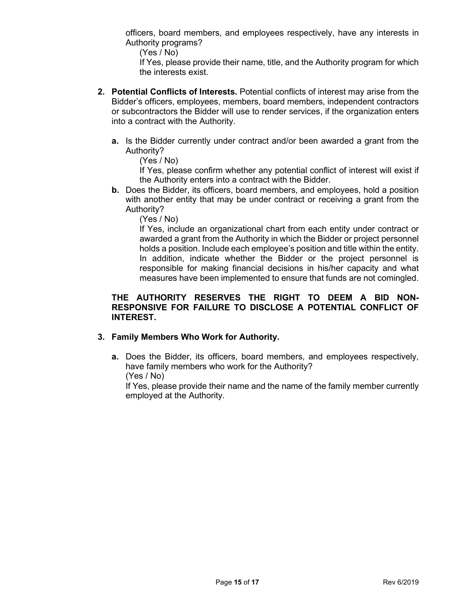officers, board members, and employees respectively, have any interests in Authority programs?

(Yes / No)

If Yes, please provide their name, title, and the Authority program for which the interests exist.

- **2. Potential Conflicts of Interests.** Potential conflicts of interest may arise from the Bidder's officers, employees, members, board members, independent contractors or subcontractors the Bidder will use to render services, if the organization enters into a contract with the Authority.
	- **a.** Is the Bidder currently under contract and/or been awarded a grant from the Authority?

(Yes / No)

If Yes, please confirm whether any potential conflict of interest will exist if the Authority enters into a contract with the Bidder.

**b.** Does the Bidder, its officers, board members, and employees, hold a position with another entity that may be under contract or receiving a grant from the Authority?

(Yes / No)

If Yes, include an organizational chart from each entity under contract or awarded a grant from the Authority in which the Bidder or project personnel holds a position. Include each employee's position and title within the entity. In addition, indicate whether the Bidder or the project personnel is responsible for making financial decisions in his/her capacity and what measures have been implemented to ensure that funds are not comingled.

## **THE AUTHORITY RESERVES THE RIGHT TO DEEM A BID NON-RESPONSIVE FOR FAILURE TO DISCLOSE A POTENTIAL CONFLICT OF INTEREST.**

# **3. Family Members Who Work for Authority.**

**a.** Does the Bidder, its officers, board members, and employees respectively, have family members who work for the Authority? (Yes / No)

If Yes, please provide their name and the name of the family member currently employed at the Authority.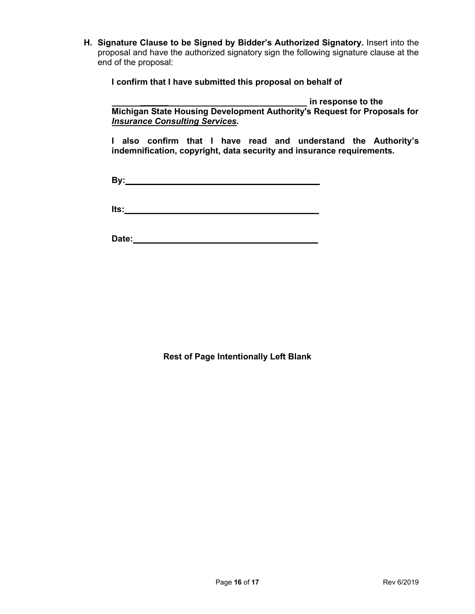**H. Signature Clause to be Signed by Bidder's Authorized Signatory.** Insert into the proposal and have the authorized signatory sign the following signature clause at the end of the proposal:

**I confirm that I have submitted this proposal on behalf of** 

*\_\_\_\_\_\_* **in response to the Michigan State Housing Development Authority's Request for Proposals for** *Insurance Consulting Services***.**

**I also confirm that I have read and understand the Authority's indemnification, copyright, data security and insurance requirements.** 

**By:\_\_\_\_\_\_\_\_\_\_\_\_\_\_\_\_\_\_\_\_\_\_\_\_\_\_\_\_\_\_\_\_\_\_\_\_\_\_\_\_\_**

**Its:** 

**Date:\_\_\_\_\_\_\_\_\_\_\_\_\_\_\_\_\_\_\_\_\_\_\_\_\_\_\_\_\_\_\_\_\_\_\_\_\_\_\_**

**Rest of Page Intentionally Left Blank**